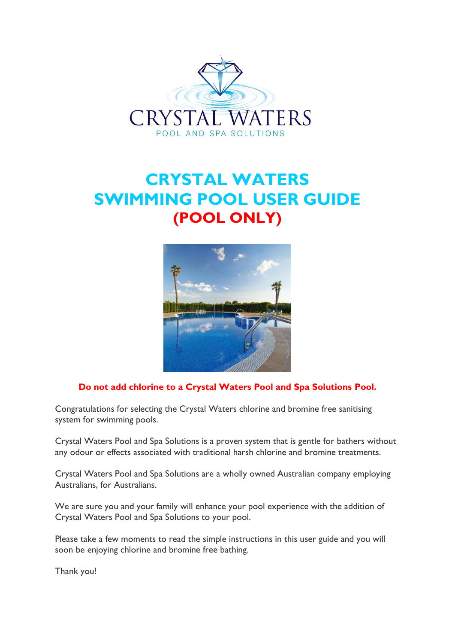

# **CRYSTAL WATERS SWIMMING POOL USER GUIDE (POOL ONLY)**



#### **Do not add chlorine to a Crystal Waters Pool and Spa Solutions Pool.**

Congratulations for selecting the Crystal Waters chlorine and bromine free sanitising system for swimming pools.

Crystal Waters Pool and Spa Solutions is a proven system that is gentle for bathers without any odour or effects associated with traditional harsh chlorine and bromine treatments.

Crystal Waters Pool and Spa Solutions are a wholly owned Australian company employing Australians, for Australians.

We are sure you and your family will enhance your pool experience with the addition of Crystal Waters Pool and Spa Solutions to your pool.

Please take a few moments to read the simple instructions in this user guide and you will soon be enjoying chlorine and bromine free bathing.

Thank you!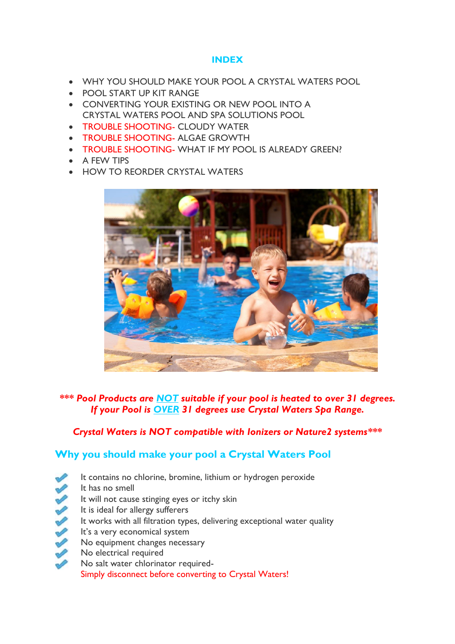#### **INDEX**

- WHY YOU SHOULD MAKE YOUR POOL A CRYSTAL WATERS POOL
- POOL START UP KIT RANGE
- CONVERTING YOUR EXISTING OR NEW POOL INTO A CRYSTAL WATERS POOL AND SPA SOLUTIONS POOL
- **TROUBLE SHOOTING- CLOUDY WATER**
- TROUBLE SHOOTING- ALGAE GROWTH
- TROUBLE SHOOTING- WHAT IF MY POOL IS ALREADY GREEN?
- A FEW TIPS
- HOW TO REORDER CRYSTAL WATERS



*\*\*\* Pool Products are NOT suitable if your pool is heated to over 31 degrees. If your Pool is OVER 31 degrees use Crystal Waters Spa Range.* 

#### *Crystal Waters is NOT compatible with Ionizers or Nature2 systems\*\*\**

## **Why you should make your pool a Crystal Waters Pool**

- It contains no chlorine, bromine, lithium or hydrogen peroxide
- It has no smell
- It will not cause stinging eyes or itchy skin
- 233322 It is ideal for allergy sufferers
	- It works with all filtration types, delivering exceptional water quality
	- It's a very economical system
- No equipment changes necessary
- No electrical required
	- No salt water chlorinator required-Simply disconnect before converting to Crystal Waters!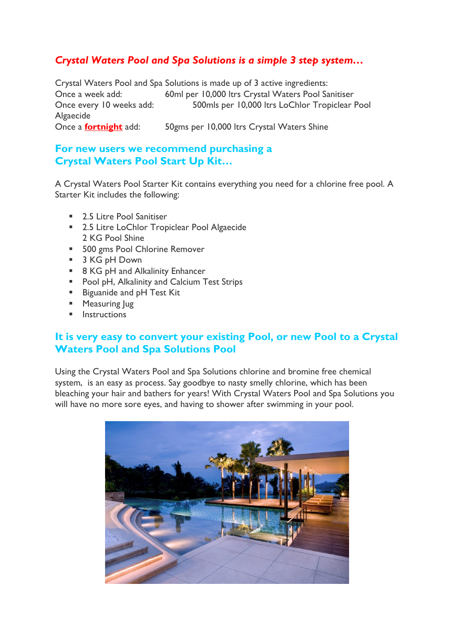# *Crystal Waters Pool and Spa Solutions is a simple 3 step system…*

Crystal Waters Pool and Spa Solutions is made up of 3 active ingredients: Once a week add: 60ml per 10,000 ltrs Crystal Waters Pool Sanitiser Once every 10 weeks add: 500mls per 10,000 ltrs LoChlor Tropiclear Pool Algaecide Once a **fortnight** add: 50gms per 10,000 ltrs Crystal Waters Shine

### **For new users we recommend purchasing a Crystal Waters Pool Start Up Kit…**

A Crystal Waters Pool Starter Kit contains everything you need for a chlorine free pool. A Starter Kit includes the following:

- **2.5 Litre Pool Sanitiser**
- 2.5 Litre LoChlor Tropiclear Pool Algaecide 2 KG Pool Shine
- **500 gms Pool Chlorine Remover**
- 3 KG pH Down
- 8 KG pH and Alkalinity Enhancer
- **Pool pH, Alkalinity and Calcium Test Strips**
- **Biguanide and pH Test Kit**
- **Measuring Jug**
- $\blacksquare$  Instructions

### **It is very easy to convert your existing Pool, or new Pool to a Crystal Waters Pool and Spa Solutions Pool**

Using the Crystal Waters Pool and Spa Solutions chlorine and bromine free chemical system, is an easy as process. Say goodbye to nasty smelly chlorine, which has been bleaching your hair and bathers for years! With Crystal Waters Pool and Spa Solutions you will have no more sore eyes, and having to shower after swimming in your pool.

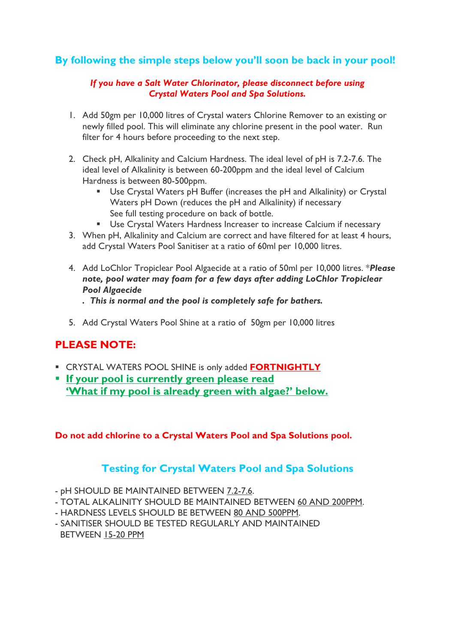## **By following the simple steps below you'll soon be back in your pool!**

#### *If you have a Salt Water Chlorinator, please disconnect before using Crystal Waters Pool and Spa Solutions.*

- 1. Add 50gm per 10,000 litres of Crystal waters Chlorine Remover to an existing or newly filled pool. This will eliminate any chlorine present in the pool water. Run filter for 4 hours before proceeding to the next step.
- 2. Check pH, Alkalinity and Calcium Hardness. The ideal level of pH is 7.2-7.6. The ideal level of Alkalinity is between 60-200ppm and the ideal level of Calcium Hardness is between 80-500ppm.
	- Use Crystal Waters pH Buffer (increases the pH and Alkalinity) or Crystal Waters pH Down (reduces the pH and Alkalinity) if necessary See full testing procedure on back of bottle.
	- **Use Crystal Waters Hardness Increaser to increase Calcium if necessary**
- 3. When pH, Alkalinity and Calcium are correct and have filtered for at least 4 hours, add Crystal Waters Pool Sanitiser at a ratio of 60ml per 10,000 litres.
- 4. Add LoChlor Tropiclear Pool Algaecide at a ratio of 50ml per 10,000 litres. \**Please note, pool water may foam for a few days after adding LoChlor Tropiclear Pool Algaecide*
	- *. This is normal and the pool is completely safe for bathers.*
- 5. Add Crystal Waters Pool Shine at a ratio of 50gm per 10,000 litres

## **PLEASE NOTE:**

- CRYSTAL WATERS POOL SHINE is only added **FORTNIGHTLY**
- **If your pool is currently green please read 'What if my pool is already green with algae?' below.**

**Do not add chlorine to a Crystal Waters Pool and Spa Solutions pool.**

## **Testing for Crystal Waters Pool and Spa Solutions**

- pH SHOULD BE MAINTAINED BETWEEN 7.2-7.6.
- TOTAL ALKALINITY SHOULD BE MAINTAINED BETWEEN 60 AND 200PPM.
- HARDNESS LEVELS SHOULD BE BETWEEN 80 AND 500PPM.
- SANITISER SHOULD BE TESTED REGULARLY AND MAINTAINED BETWEEN 15-20 PPM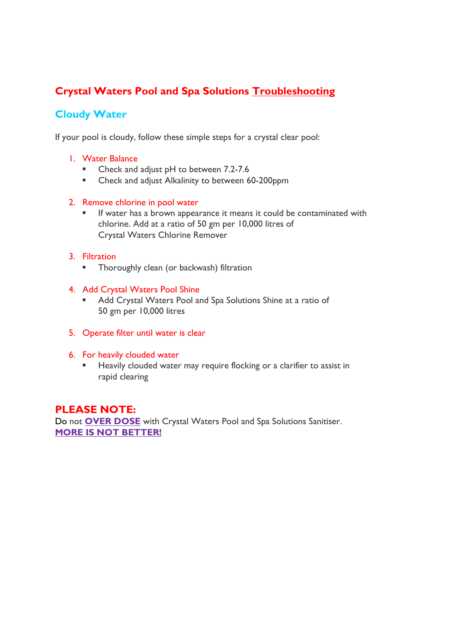# **Crystal Waters Pool and Spa Solutions Troubleshooting**

# **Cloudy Water**

If your pool is cloudy, follow these simple steps for a crystal clear pool:

#### 1. Water Balance

- Check and adjust pH to between 7.2-7.6
- **EXECUTE:** Check and adjust Alkalinity to between 60-200ppm

#### 2. Remove chlorine in pool water

 If water has a brown appearance it means it could be contaminated with chlorine. Add at a ratio of 50 gm per 10,000 litres of Crystal Waters Chlorine Remover

#### 3. Filtration

- **Thoroughly clean (or backwash) filtration**
- 4. Add Crystal Waters Pool Shine
	- Add Crystal Waters Pool and Spa Solutions Shine at a ratio of 50 gm per 10,000 litres
- 5. Operate filter until water is clear
- 6. For heavily clouded water
	- Heavily clouded water may require flocking or a clarifier to assist in rapid clearing

#### **PLEASE NOTE:**

Do not **OVER DOSE** with Crystal Waters Pool and Spa Solutions Sanitiser. **MORE IS NOT BETTER!**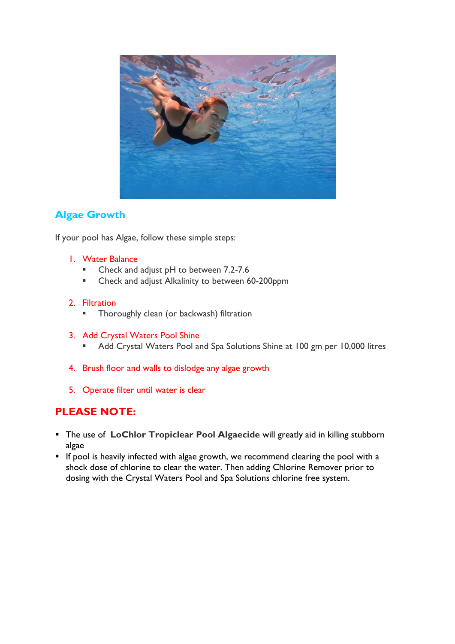

# **Algae Growth**

If your pool has Algae, follow these simple steps:

- 1. Water Balance
	- Check and adjust pH to between 7.2-7.6
	- **EXECUTE:** Check and adjust Alkalinity to between 60-200ppm

#### 2. Filtration

- Thoroughly clean (or backwash) filtration
- 3. Add Crystal Waters Pool Shine
	- Add Crystal Waters Pool and Spa Solutions Shine at 100 gm per 10,000 litres
- 4. Brush floor and walls to dislodge any algae growth
- 5. Operate filter until water is clear

### **PLEASE NOTE:**

- The use of **LoChlor Tropiclear Pool Algaecide** will greatly aid in killing stubborn algae
- $\blacksquare$  If pool is heavily infected with algae growth, we recommend clearing the pool with a shock dose of chlorine to clear the water. Then adding Chlorine Remover prior to dosing with the Crystal Waters Pool and Spa Solutions chlorine free system.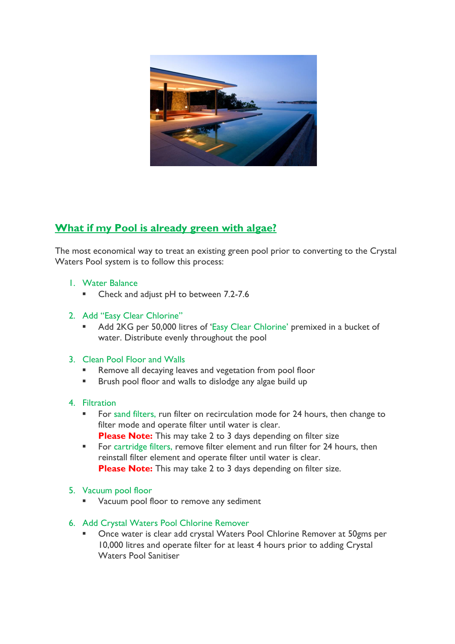

# **What if my Pool is already green with algae?**

The most economical way to treat an existing green pool prior to converting to the Crystal Waters Pool system is to follow this process:

- 1. Water Balance
	- Check and adjust pH to between 7.2-7.6
- 2. Add "Easy Clear Chlorine"
	- Add 2KG per 50,000 litres of 'Easy Clear Chlorine' premixed in a bucket of water. Distribute evenly throughout the pool
- 3. Clean Pool Floor and Walls
	- Remove all decaying leaves and vegetation from pool floor
	- **Brush pool floor and walls to dislodge any algae build up**
- 4. Filtration
	- For sand filters, run filter on recirculation mode for 24 hours, then change to filter mode and operate filter until water is clear. **Please Note:** This may take 2 to 3 days depending on filter size
	- **For cartridge filters, remove filter element and run filter for 24 hours, then** reinstall filter element and operate filter until water is clear. **Please Note:** This may take 2 to 3 days depending on filter size.
- 5. Vacuum pool floor
	- Vacuum pool floor to remove any sediment
- 6. Add Crystal Waters Pool Chlorine Remover
	- Once water is clear add crystal Waters Pool Chlorine Remover at 50gms per 10,000 litres and operate filter for at least 4 hours prior to adding Crystal Waters Pool Sanitiser